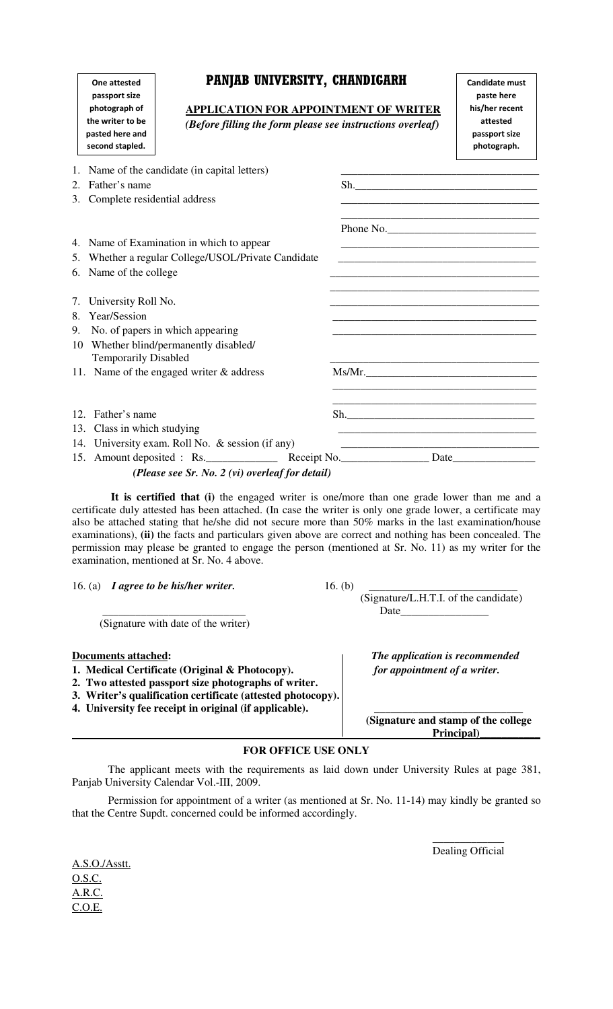| <b>One attested</b>                |  |  |  |  |
|------------------------------------|--|--|--|--|
| passport size<br>photograph of     |  |  |  |  |
|                                    |  |  |  |  |
| pasted here and<br>second stapled. |  |  |  |  |

## PANJAB UNIVERSITY, CHANDIGARH

|    | passport size<br>photograph of                         | <b>APPLICATION FOR APPOINTMENT OF WRITER</b>     |                                                            | paste here<br>his/her recent |                                                                                                                       |
|----|--------------------------------------------------------|--------------------------------------------------|------------------------------------------------------------|------------------------------|-----------------------------------------------------------------------------------------------------------------------|
|    | the writer to be<br>pasted here and<br>second stapled. |                                                  | (Before filling the form please see instructions overleaf) |                              | attested<br>passport size<br>photograph.                                                                              |
| 1. |                                                        | Name of the candidate (in capital letters)       |                                                            |                              |                                                                                                                       |
| 2. | Father's name                                          |                                                  |                                                            |                              | Sh.                                                                                                                   |
|    | 3. Complete residential address                        |                                                  |                                                            |                              | <u> 1980 - Johann Barn, amerikan besteman besteman besteman besteman besteman besteman besteman besteman besteman</u> |
|    |                                                        |                                                  |                                                            |                              | Phone No.                                                                                                             |
|    |                                                        | 4. Name of Examination in which to appear        |                                                            |                              |                                                                                                                       |
|    | 5. Whether a regular College/USOL/Private Candidate    |                                                  |                                                            |                              |                                                                                                                       |
|    | 6. Name of the college                                 |                                                  |                                                            |                              |                                                                                                                       |
| 7. | University Roll No.                                    |                                                  |                                                            |                              |                                                                                                                       |
| 8. | Year/Session                                           |                                                  |                                                            |                              |                                                                                                                       |
| 9. | No. of papers in which appearing                       |                                                  |                                                            |                              |                                                                                                                       |
| 10 | <b>Temporarily Disabled</b>                            | Whether blind/permanently disabled/              |                                                            |                              |                                                                                                                       |
|    |                                                        | 11. Name of the engaged writer & address         |                                                            |                              |                                                                                                                       |
|    | 12. Father's name                                      |                                                  |                                                            |                              | Sh.                                                                                                                   |
|    | 13. Class in which studying                            |                                                  |                                                            |                              | <u> 1989 - Johann Stoff, Amerikaansk politiker (* 1908)</u>                                                           |
|    |                                                        | 14. University exam. Roll No. & session (if any) |                                                            |                              |                                                                                                                       |
|    |                                                        | 15. Amount deposited : Rs.                       |                                                            |                              |                                                                                                                       |

*(Please see Sr. No. 2 (vi) overleaf for detail)* 

 **It is certified that (i)** the engaged writer is one/more than one grade lower than me and a certificate duly attested has been attached. (In case the writer is only one grade lower, a certificate may also be attached stating that he/she did not secure more than 50% marks in the last examination/house examinations), **(ii)** the facts and particulars given above are correct and nothing has been concealed. The permission may please be granted to engage the person (mentioned at Sr. No. 11) as my writer for the examination, mentioned at Sr. No. 4 above.

16. (a) *I agree to be his/her writer.* 16. (b)

(Signature with date of the writer)

- **1. Medical Certificate (Original & Photocopy).** *for appointment of a writer.*
- **2. Two attested passport size photographs of writer.**
- **3. Writer's qualification certificate (attested photocopy).**
- **4. University fee receipt in original (if applicable).**

 (Signature/L.H.T.I. of the candidate) \_\_\_\_\_\_\_\_\_\_\_\_\_\_\_\_\_\_\_\_\_\_\_\_\_\_ Date\_\_\_\_\_\_\_\_\_\_\_\_\_\_\_\_

Candidate must

**Documents attached:** *The application is recommended* 

 **(Signature and stamp of the college Principal)\_\_\_\_\_\_\_\_\_\_\_**

## **FOR OFFICE USE ONLY**

 The applicant meets with the requirements as laid down under University Rules at page 381, Panjab University Calendar Vol.-III, 2009.

 Permission for appointment of a writer (as mentioned at Sr. No. 11-14) may kindly be granted so that the Centre Supdt. concerned could be informed accordingly.

A.S.O./Asstt. O.S.C. A.R.C. C.O.E.

 $\mathcal{L}_\text{max}$  and  $\mathcal{L}_\text{max}$  are the set of the set of the set of the set of the set of the set of the set of the set of the set of the set of the set of the set of the set of the set of the set of the set of the set o Dealing Official